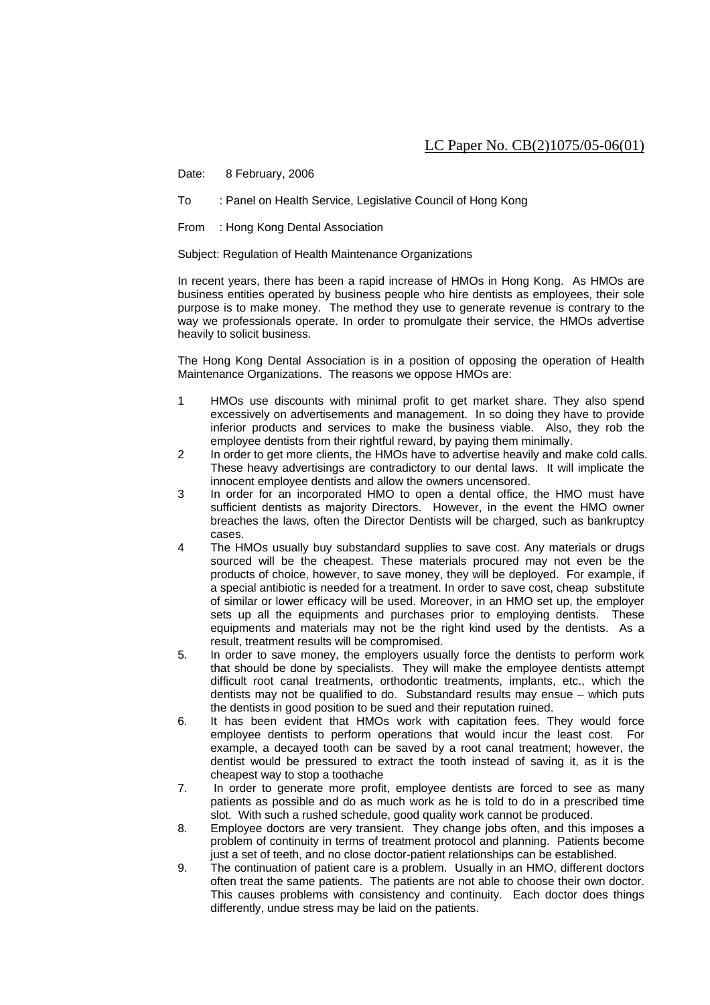## LC Paper No. CB(2)1075/05-06(01)

Date: 8 February, 2006

- To : Panel on Health Service, Legislative Council of Hong Kong
- From : Hong Kong Dental Association

Subject: Regulation of Health Maintenance Organizations

In recent years, there has been a rapid increase of HMOs in Hong Kong. As HMOs are business entities operated by business people who hire dentists as employees, their sole purpose is to make money. The method they use to generate revenue is contrary to the way we professionals operate. In order to promulgate their service, the HMOs advertise heavily to solicit business.

The Hong Kong Dental Association is in a position of opposing the operation of Health Maintenance Organizations. The reasons we oppose HMOs are:

- 1 HMOs use discounts with minimal profit to get market share. They also spend excessively on advertisements and management. In so doing they have to provide inferior products and services to make the business viable. Also, they rob the employee dentists from their rightful reward, by paying them minimally.
- 2 In order to get more clients, the HMOs have to advertise heavily and make cold calls. These heavy advertisings are contradictory to our dental laws. It will implicate the innocent employee dentists and allow the owners uncensored.
- 3 In order for an incorporated HMO to open a dental office, the HMO must have sufficient dentists as majority Directors. However, in the event the HMO owner breaches the laws, often the Director Dentists will be charged, such as bankruptcy cases.
- 4 The HMOs usually buy substandard supplies to save cost. Any materials or drugs sourced will be the cheapest. These materials procured may not even be the products of choice, however, to save money, they will be deployed. For example, if a special antibiotic is needed for a treatment. In order to save cost, cheap substitute of similar or lower efficacy will be used. Moreover, in an HMO set up, the employer sets up all the equipments and purchases prior to employing dentists. These equipments and materials may not be the right kind used by the dentists. As a result, treatment results will be compromised.
- 5. In order to save money, the employers usually force the dentists to perform work that should be done by specialists. They will make the employee dentists attempt difficult root canal treatments, orthodontic treatments, implants, etc., which the dentists may not be qualified to do. Substandard results may ensue – which puts the dentists in good position to be sued and their reputation ruined.
- 6. It has been evident that HMOs work with capitation fees. They would force employee dentists to perform operations that would incur the least cost. For example, a decayed tooth can be saved by a root canal treatment; however, the dentist would be pressured to extract the tooth instead of saving it, as it is the cheapest way to stop a toothache
- 7. In order to generate more profit, employee dentists are forced to see as many patients as possible and do as much work as he is told to do in a prescribed time slot. With such a rushed schedule, good quality work cannot be produced.
- 8. Employee doctors are very transient. They change jobs often, and this imposes a problem of continuity in terms of treatment protocol and planning. Patients become just a set of teeth, and no close doctor-patient relationships can be established.
- 9. The continuation of patient care is a problem. Usually in an HMO, different doctors often treat the same patients. The patients are not able to choose their own doctor. This causes problems with consistency and continuity. Each doctor does things differently, undue stress may be laid on the patients.